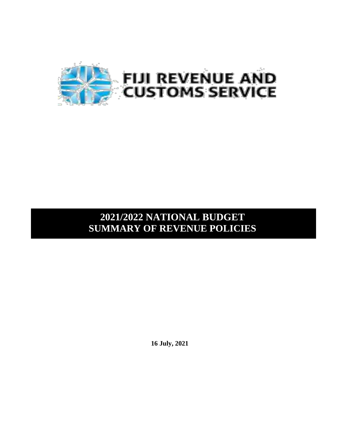

# **2021/2022 NATIONAL BUDGET SUMMARY OF REVENUE POLICIES**

**16 July, 2021**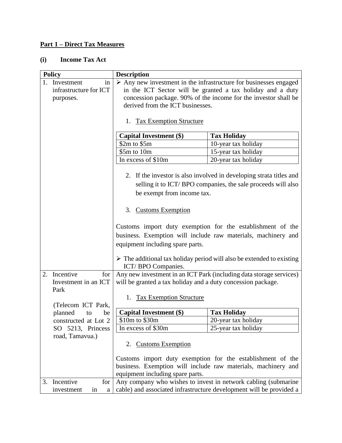#### **Part 1 – Direct Tax Measures**

#### **(i) Income Tax Act**

| $\triangleright$ Any new investment in the infrastructure for businesses engaged<br>1. Investment<br>in<br>in the ICT Sector will be granted a tax holiday and a duty<br>infrastructure for ICT<br>concession package. 90% of the income for the investor shall be<br>purposes.<br>derived from the ICT businesses.<br>1. Tax Exemption Structure<br><b>Capital Investment (\$)</b><br><b>Tax Holiday</b><br>\$2m to \$5m<br>10-year tax holiday<br>\$5m to 10m<br>15-year tax holiday<br>In excess of \$10m<br>20-year tax holiday | <b>Policy</b> | <b>Description</b> |  |
|-------------------------------------------------------------------------------------------------------------------------------------------------------------------------------------------------------------------------------------------------------------------------------------------------------------------------------------------------------------------------------------------------------------------------------------------------------------------------------------------------------------------------------------|---------------|--------------------|--|
|                                                                                                                                                                                                                                                                                                                                                                                                                                                                                                                                     |               |                    |  |
|                                                                                                                                                                                                                                                                                                                                                                                                                                                                                                                                     |               |                    |  |
|                                                                                                                                                                                                                                                                                                                                                                                                                                                                                                                                     |               |                    |  |
|                                                                                                                                                                                                                                                                                                                                                                                                                                                                                                                                     |               |                    |  |
|                                                                                                                                                                                                                                                                                                                                                                                                                                                                                                                                     |               |                    |  |
|                                                                                                                                                                                                                                                                                                                                                                                                                                                                                                                                     |               |                    |  |
|                                                                                                                                                                                                                                                                                                                                                                                                                                                                                                                                     |               |                    |  |
|                                                                                                                                                                                                                                                                                                                                                                                                                                                                                                                                     |               |                    |  |
|                                                                                                                                                                                                                                                                                                                                                                                                                                                                                                                                     |               |                    |  |
|                                                                                                                                                                                                                                                                                                                                                                                                                                                                                                                                     |               |                    |  |
|                                                                                                                                                                                                                                                                                                                                                                                                                                                                                                                                     |               |                    |  |
|                                                                                                                                                                                                                                                                                                                                                                                                                                                                                                                                     |               |                    |  |
| 2. If the investor is also involved in developing strata titles and                                                                                                                                                                                                                                                                                                                                                                                                                                                                 |               |                    |  |
| selling it to ICT/BPO companies, the sale proceeds will also                                                                                                                                                                                                                                                                                                                                                                                                                                                                        |               |                    |  |
| be exempt from income tax.                                                                                                                                                                                                                                                                                                                                                                                                                                                                                                          |               |                    |  |
|                                                                                                                                                                                                                                                                                                                                                                                                                                                                                                                                     |               |                    |  |
| 3. Customs Exemption                                                                                                                                                                                                                                                                                                                                                                                                                                                                                                                |               |                    |  |
|                                                                                                                                                                                                                                                                                                                                                                                                                                                                                                                                     |               |                    |  |
| Customs import duty exemption for the establishment of the                                                                                                                                                                                                                                                                                                                                                                                                                                                                          |               |                    |  |
|                                                                                                                                                                                                                                                                                                                                                                                                                                                                                                                                     |               |                    |  |
| business. Exemption will include raw materials, machinery and                                                                                                                                                                                                                                                                                                                                                                                                                                                                       |               |                    |  |
| equipment including spare parts.                                                                                                                                                                                                                                                                                                                                                                                                                                                                                                    |               |                    |  |
|                                                                                                                                                                                                                                                                                                                                                                                                                                                                                                                                     |               |                    |  |
| $\triangleright$ The additional tax holiday period will also be extended to existing                                                                                                                                                                                                                                                                                                                                                                                                                                                |               |                    |  |
| ICT/BPO Companies.<br>2. Incentive<br>for                                                                                                                                                                                                                                                                                                                                                                                                                                                                                           |               |                    |  |
| Any new investment in an ICT Park (including data storage services)<br>Investment in an ICT                                                                                                                                                                                                                                                                                                                                                                                                                                         |               |                    |  |
| will be granted a tax holiday and a duty concession package.<br>Park                                                                                                                                                                                                                                                                                                                                                                                                                                                                |               |                    |  |
| 1.                                                                                                                                                                                                                                                                                                                                                                                                                                                                                                                                  |               |                    |  |
| <b>Tax Exemption Structure</b><br>(Telecom ICT Park,                                                                                                                                                                                                                                                                                                                                                                                                                                                                                |               |                    |  |
| <b>Capital Investment (\$)</b><br><b>Tax Holiday</b><br>planned<br>to<br>be                                                                                                                                                                                                                                                                                                                                                                                                                                                         |               |                    |  |
| constructed at Lot 2<br>\$10m to \$30m<br>20-year tax holiday                                                                                                                                                                                                                                                                                                                                                                                                                                                                       |               |                    |  |
| In excess of \$30m<br>25-year tax holiday<br>SO 5213, Princess                                                                                                                                                                                                                                                                                                                                                                                                                                                                      |               |                    |  |
| road, Tamavua.)                                                                                                                                                                                                                                                                                                                                                                                                                                                                                                                     |               |                    |  |
| <b>Customs Exemption</b><br>2.                                                                                                                                                                                                                                                                                                                                                                                                                                                                                                      |               |                    |  |
|                                                                                                                                                                                                                                                                                                                                                                                                                                                                                                                                     |               |                    |  |
| Customs import duty exemption for the establishment of the                                                                                                                                                                                                                                                                                                                                                                                                                                                                          |               |                    |  |
| business. Exemption will include raw materials, machinery and                                                                                                                                                                                                                                                                                                                                                                                                                                                                       |               |                    |  |
| equipment including spare parts.                                                                                                                                                                                                                                                                                                                                                                                                                                                                                                    |               |                    |  |
| Any company who wishes to invest in network cabling (submarine<br>3. Incentive<br>for                                                                                                                                                                                                                                                                                                                                                                                                                                               |               |                    |  |
| cable) and associated infrastructure development will be provided a<br>investment<br>in<br>a                                                                                                                                                                                                                                                                                                                                                                                                                                        |               |                    |  |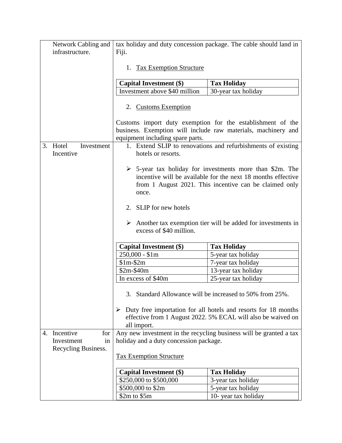|    | Network Cabling and<br>infrastructure. | Fiji.                                       | tax holiday and duty concession package. The cable should land in                                                                                                                          |
|----|----------------------------------------|---------------------------------------------|--------------------------------------------------------------------------------------------------------------------------------------------------------------------------------------------|
|    |                                        | 1. Tax Exemption Structure                  |                                                                                                                                                                                            |
|    |                                        |                                             |                                                                                                                                                                                            |
|    |                                        | Capital Investment (\$)                     | <b>Tax Holiday</b>                                                                                                                                                                         |
|    |                                        | Investment above \$40 million               | 30-year tax holiday                                                                                                                                                                        |
|    |                                        | 2. Customs Exemption                        |                                                                                                                                                                                            |
|    |                                        | equipment including spare parts.            | Customs import duty exemption for the establishment of the<br>business. Exemption will include raw materials, machinery and                                                                |
| 3. | Hotel<br>Investment                    |                                             | 1. Extend SLIP to renovations and refurbishments of existing                                                                                                                               |
|    | Incentive                              | hotels or resorts.                          |                                                                                                                                                                                            |
|    |                                        | once.                                       | $\geq$ 5-year tax holiday for investments more than \$2m. The<br>incentive will be available for the next 18 months effective<br>from 1 August 2021. This incentive can be claimed only    |
|    |                                        | 2. SLIP for new hotels                      |                                                                                                                                                                                            |
|    |                                        | excess of \$40 million.                     | $\triangleright$ Another tax exemption tier will be added for investments in                                                                                                               |
|    |                                        | <b>Capital Investment (\$)</b>              | <b>Tax Holiday</b>                                                                                                                                                                         |
|    |                                        | $250,000 - $1m$                             | 5-year tax holiday                                                                                                                                                                         |
|    |                                        | $$1m-$2m$                                   | 7-year tax holiday                                                                                                                                                                         |
|    |                                        | $$2m-$40m$                                  | 13-year tax holiday                                                                                                                                                                        |
|    |                                        | In excess of \$40m                          | 25-year tax holiday                                                                                                                                                                        |
|    |                                        | ➤<br>all import.                            | 3. Standard Allowance will be increased to 50% from 25%.<br>Duty free importation for all hotels and resorts for 18 months<br>effective from 1 August 2022. 5% ECAL will also be waived on |
| 4. | Incentive<br>for<br>Investment<br>in   | holiday and a duty concession package.      | Any new investment in the recycling business will be granted a tax                                                                                                                         |
|    | Recycling Business.                    | <b>Tax Exemption Structure</b>              |                                                                                                                                                                                            |
|    |                                        |                                             |                                                                                                                                                                                            |
|    |                                        |                                             |                                                                                                                                                                                            |
|    |                                        | <b>Capital Investment (\$)</b>              | <b>Tax Holiday</b>                                                                                                                                                                         |
|    |                                        | \$250,000 to \$500,000<br>\$500,000 to \$2m | 3-year tax holiday<br>5-year tax holiday                                                                                                                                                   |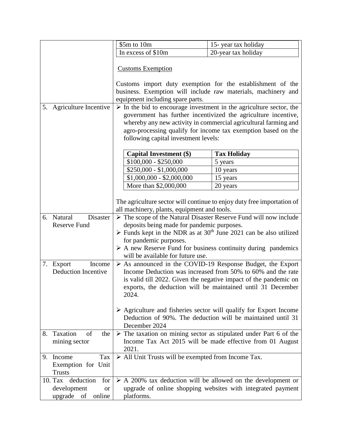|                                                                                    | \$5m to 10m                                                        | 15-year tax holiday                                                                                                                                                                                |
|------------------------------------------------------------------------------------|--------------------------------------------------------------------|----------------------------------------------------------------------------------------------------------------------------------------------------------------------------------------------------|
|                                                                                    | In excess of \$10m                                                 | 20-year tax holiday                                                                                                                                                                                |
|                                                                                    | <b>Customs Exemption</b>                                           |                                                                                                                                                                                                    |
|                                                                                    |                                                                    | Customs import duty exemption for the establishment of the                                                                                                                                         |
|                                                                                    |                                                                    | business. Exemption will include raw materials, machinery and                                                                                                                                      |
|                                                                                    | equipment including spare parts.                                   |                                                                                                                                                                                                    |
| 5. Agriculture Incentive                                                           |                                                                    | $\triangleright$ In the bid to encourage investment in the agriculture sector, the                                                                                                                 |
|                                                                                    | following capital investment levels:                               | government has further incentivized the agriculture incentive,<br>whereby any new activity in commercial agricultural farming and<br>agro-processing qualify for income tax exemption based on the |
|                                                                                    | <b>Capital Investment (\$)</b>                                     | <b>Tax Holiday</b>                                                                                                                                                                                 |
|                                                                                    | $$100,000 - $250,000$                                              | 5 years                                                                                                                                                                                            |
|                                                                                    | $\overline{$250,000}$ - \$1,000,000                                | 10 years                                                                                                                                                                                           |
|                                                                                    | $$1,000,000 - $2,000,000$                                          | 15 years                                                                                                                                                                                           |
|                                                                                    | More than \$2,000,000                                              | 20 years                                                                                                                                                                                           |
| Natural<br>Disaster<br>6.                                                          | all machinery, plants, equipment and tools.                        | The agriculture sector will continue to enjoy duty free importation of<br>$\triangleright$ The scope of the Natural Disaster Reserve Fund will now include                                         |
| <b>Reserve Fund</b>                                                                | deposits being made for pandemic purposes.                         |                                                                                                                                                                                                    |
|                                                                                    |                                                                    | $\triangleright$ Funds kept in the NDR as at 30 <sup>th</sup> June 2021 can be also utilized                                                                                                       |
|                                                                                    | for pandemic purposes.                                             |                                                                                                                                                                                                    |
|                                                                                    | will be available for future use.                                  | $\triangleright$ A new Reserve Fund for business continuity during pandemics                                                                                                                       |
| 7. Export<br>Income                                                                |                                                                    | $\triangleright$ As announced in the COVID-19 Response Budget, the Export                                                                                                                          |
| <b>Deduction Incentive</b>                                                         |                                                                    | Income Deduction was increased from 50% to 60% and the rate                                                                                                                                        |
|                                                                                    |                                                                    | is valid till 2022. Given the negative impact of the pandemic on                                                                                                                                   |
|                                                                                    | 2024.                                                              | exports, the deduction will be maintained until 31 December                                                                                                                                        |
|                                                                                    | December 2024                                                      | $\triangleright$ Agriculture and fisheries sector will qualify for Export Income<br>Deduction of 90%. The deduction will be maintained until 31                                                    |
| 8. Taxation<br>of<br>the<br>mining sector                                          | 2021.                                                              | $\triangleright$ The taxation on mining sector as stipulated under Part 6 of the<br>Income Tax Act 2015 will be made effective from 01 August                                                      |
| 9. Income<br>Tax<br>Exemption for Unit<br><b>Trusts</b>                            | $\triangleright$ All Unit Trusts will be exempted from Income Tax. |                                                                                                                                                                                                    |
| 10. Tax<br>deduction<br>for<br>development<br><b>or</b><br>upgrade<br>online<br>of | platforms.                                                         | $\triangleright$ A 200% tax deduction will be allowed on the development or<br>upgrade of online shopping websites with integrated payment                                                         |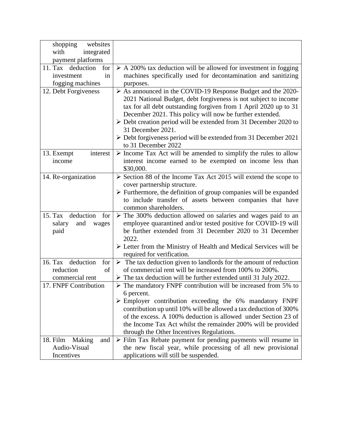| shopping<br>websites                     |                                                                                   |
|------------------------------------------|-----------------------------------------------------------------------------------|
| with<br>integrated                       |                                                                                   |
| payment platforms                        |                                                                                   |
| 11. Tax deduction<br>for                 | $\triangleright$ A 200% tax deduction will be allowed for investment in fogging   |
| in<br>investment                         | machines specifically used for decontamination and sanitizing                     |
| fogging machines                         | purposes.                                                                         |
| 12. Debt Forgiveness                     | $\triangleright$ As announced in the COVID-19 Response Budget and the 2020-       |
|                                          | 2021 National Budget, debt forgiveness is not subject to income                   |
|                                          | tax for all debt outstanding forgiven from 1 April 2020 up to 31                  |
|                                          | December 2021. This policy will now be further extended.                          |
|                                          | $\triangleright$ Debt creation period will be extended from 31 December 2020 to   |
|                                          | 31 December 2021.                                                                 |
|                                          | $\triangleright$ Debt forgiveness period will be extended from 31 December 2021   |
|                                          | to 31 December 2022                                                               |
| 13. Exempt<br>interest                   | $\triangleright$ Income Tax Act will be amended to simplify the rules to allow    |
| income                                   | interest income earned to be exempted on income less than                         |
|                                          | \$30,000.                                                                         |
| 14. Re-organization                      | $\triangleright$ Section 88 of the Income Tax Act 2015 will extend the scope to   |
|                                          | cover partnership structure.                                                      |
|                                          | $\triangleright$ Furthermore, the definition of group companies will be expanded  |
|                                          | to include transfer of assets between companies that have                         |
|                                          | common shareholders.                                                              |
| deduction<br>15. Tax<br>for              | $\triangleright$ The 300% deduction allowed on salaries and wages paid to an      |
| salary<br>and<br>wages                   | employee quarantined and/or tested positive for COVID-19 will                     |
| paid                                     | be further extended from 31 December 2020 to 31 December                          |
|                                          | 2022.                                                                             |
|                                          | $\triangleright$ Letter from the Ministry of Health and Medical Services will be  |
|                                          | required for verification.                                                        |
| 16. Tax<br>deduction<br>for <sub>1</sub> | $\triangleright$ The tax deduction given to landlords for the amount of reduction |
| of<br>reduction                          | of commercial rent will be increased from 100% to 200%.                           |
| commercial rent                          | $\triangleright$ The tax deduction will be further extended until 31 July 2022.   |
| 17. FNPF Contribution                    | $\triangleright$ The mandatory FNPF contribution will be increased from 5% to     |
|                                          | 6 percent.                                                                        |
|                                          | $\triangleright$ Employer contribution exceeding the 6% mandatory FNPF            |
|                                          | contribution up until 10% will be allowed a tax deduction of 300%                 |
|                                          | of the excess. A 100% deduction is allowed under Section 23 of                    |
|                                          | the Income Tax Act whilst the remainder 200% will be provided                     |
|                                          | through the Other Incentives Regulations.                                         |
| 18. Film<br>Making<br>and                | $\triangleright$ Film Tax Rebate payment for pending payments will resume in      |
| Audio-Visual                             | the new fiscal year, while processing of all new provisional                      |
| Incentives                               | applications will still be suspended.                                             |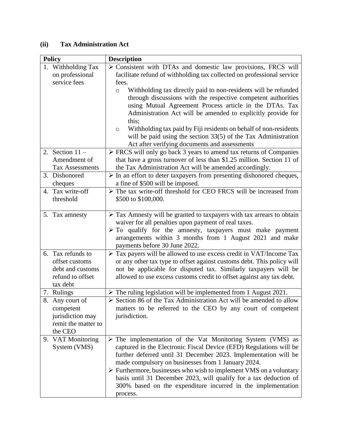#### **(ii) Tax Administration Act**

| <b>Policy</b>                                                                           | <b>Description</b>                                                                                                                                                                                                                                                                                                                                                                                                                                                                                             |
|-----------------------------------------------------------------------------------------|----------------------------------------------------------------------------------------------------------------------------------------------------------------------------------------------------------------------------------------------------------------------------------------------------------------------------------------------------------------------------------------------------------------------------------------------------------------------------------------------------------------|
| 1. Withholding Tax<br>on professional<br>service fees                                   | $\triangleright$ Consistent with DTAs and domestic law provisions, FRCS will<br>facilitate refund of withholding tax collected on professional service<br>fees.<br>Withholding tax directly paid to non-residents will be refunded<br>$\circ$<br>through discussions with the respective competent authorities<br>using Mutual Agreement Process article in the DTAs. Tax<br>Administration Act will be amended to explicitly provide for                                                                      |
|                                                                                         | this;<br>Withholding tax paid by Fiji residents on behalf of non-residents<br>O<br>will be paid using the section $33(5)$ of the Tax Administration<br>Act after verifying documents and assessments                                                                                                                                                                                                                                                                                                           |
| 2. Section $11 -$<br>Amendment of<br><b>Tax Assessments</b>                             | $\triangleright$ FRCS will only go back 3 years to amend tax returns of Companies<br>that have a gross turnover of less than \$1.25 million. Section 11 of<br>the Tax Administration Act will be amended accordingly.                                                                                                                                                                                                                                                                                          |
| 3. Dishonored<br>cheques                                                                | $\triangleright$ In an effort to deter taxpayers from presenting dishonored cheques,<br>a fine of \$500 will be imposed.                                                                                                                                                                                                                                                                                                                                                                                       |
| 4. Tax write-off<br>threshold                                                           | The tax write-off threshold for CEO FRCS will be increased from<br>\$500 to \$100,000.                                                                                                                                                                                                                                                                                                                                                                                                                         |
| 5. Tax amnesty                                                                          | > Tax Amnesty will be granted to taxpayers with tax arrears to obtain<br>waiver for all penalties upon payment of real taxes.<br>$\triangleright$ To qualify for the amnesty, taxpayers must make payment<br>arrangements within 3 months from 1 August 2021 and make<br>payments before 30 June 2022.                                                                                                                                                                                                         |
| 6. Tax refunds to<br>offset customs<br>debt and customs<br>refund to offset<br>tax debt | $\triangleright$ Tax payers will be allowed to use excess credit in VAT/Income Tax<br>or any other tax type to offset against customs debt. This policy will<br>not be applicable for disputed tax. Similarly taxpayers will be<br>allowed to use excess customs credit to offset against any tax debt.                                                                                                                                                                                                        |
| 7. Rulings                                                                              | $\triangleright$ The ruling legislation will be implemented from 1 August 2021.                                                                                                                                                                                                                                                                                                                                                                                                                                |
| 8. Any court of<br>competent<br>jurisdiction may<br>remit the matter to<br>the CEO      | $\triangleright$ Section 86 of the Tax Administration Act will be amended to allow<br>matters to be referred to the CEO by any court of competent<br>jurisdiction.                                                                                                                                                                                                                                                                                                                                             |
| 9. VAT Monitoring<br>System (VMS)                                                       | $\triangleright$ The implementation of the Vat Monitoring System (VMS) as<br>captured in the Electronic Fiscal Device (EFD) Regulations will be<br>further deferred until 31 December 2023. Implementation will be<br>made compulsory on businesses from 1 January 2024.<br>$\triangleright$ Furthermore, businesses who wish to implement VMS on a voluntary<br>basis until 31 December 2023, will qualify for a tax deduction of<br>300% based on the expenditure incurred in the implementation<br>process. |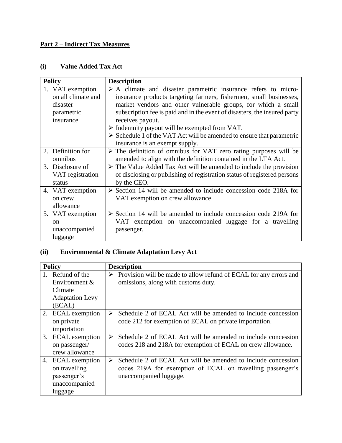# **Part 2 – Indirect Tax Measures**

#### **(i) Value Added Tax Act**

| <b>Policy</b>                                                                 | <b>Description</b>                                                                                                                                                                                                                                                                                                                                                                                                                                                            |
|-------------------------------------------------------------------------------|-------------------------------------------------------------------------------------------------------------------------------------------------------------------------------------------------------------------------------------------------------------------------------------------------------------------------------------------------------------------------------------------------------------------------------------------------------------------------------|
| 1. VAT exemption<br>on all climate and<br>disaster<br>parametric<br>insurance | $\triangleright$ A climate and disaster parametric insurance refers to micro-<br>insurance products targeting farmers, fishermen, small businesses,<br>market vendors and other vulnerable groups, for which a small<br>subscription fee is paid and in the event of disasters, the insured party<br>receives payout.<br>$\triangleright$ Indemnity payout will be exempted from VAT.<br>$\triangleright$ Schedule 1 of the VAT Act will be amended to ensure that parametric |
|                                                                               | insurance is an exempt supply.                                                                                                                                                                                                                                                                                                                                                                                                                                                |
| 2. Definition for<br>omnibus                                                  | $\triangleright$ The definition of omnibus for VAT zero rating purposes will be<br>amended to align with the definition contained in the LTA Act.                                                                                                                                                                                                                                                                                                                             |
| 3. Disclosure of<br>VAT registration<br>status                                | $\triangleright$ The Value Added Tax Act will be amended to include the provision<br>of disclosing or publishing of registration status of registered persons<br>by the CEO.                                                                                                                                                                                                                                                                                                  |
| 4. VAT exemption<br>on crew<br>allowance                                      | $\triangleright$ Section 14 will be amended to include concession code 218A for<br>VAT exemption on crew allowance.                                                                                                                                                                                                                                                                                                                                                           |
| 5. VAT exemption<br>$\alpha$<br>unaccompanied<br>luggage                      | $\triangleright$ Section 14 will be amended to include concession code 219A for<br>VAT exemption on unaccompanied luggage for a travelling<br>passenger.                                                                                                                                                                                                                                                                                                                      |

# **(ii) Environmental & Climate Adaptation Levy Act**

| <b>Policy</b>                                                                 |   | <b>Description</b>                                                                                                                                   |
|-------------------------------------------------------------------------------|---|------------------------------------------------------------------------------------------------------------------------------------------------------|
| Refund of the<br>Environment &                                                | ➤ | Provision will be made to allow refund of ECAL for any errors and<br>omissions, along with customs duty.                                             |
| Climate<br><b>Adaptation Levy</b>                                             |   |                                                                                                                                                      |
| (ECAL)                                                                        |   |                                                                                                                                                      |
| 2. ECAL exemption<br>on private<br>importation                                | ➤ | Schedule 2 of ECAL Act will be amended to include concession<br>code 212 for exemption of ECAL on private importation.                               |
| 3. ECAL exemption<br>on passenger/<br>crew allowance                          | ➤ | Schedule 2 of ECAL Act will be amended to include concession<br>codes 218 and 218A for exemption of ECAL on crew allowance.                          |
| 4. ECAL exemption<br>on travelling<br>passenger's<br>unaccompanied<br>luggage | ➤ | Schedule 2 of ECAL Act will be amended to include concession<br>codes 219A for exemption of ECAL on travelling passenger's<br>unaccompanied luggage. |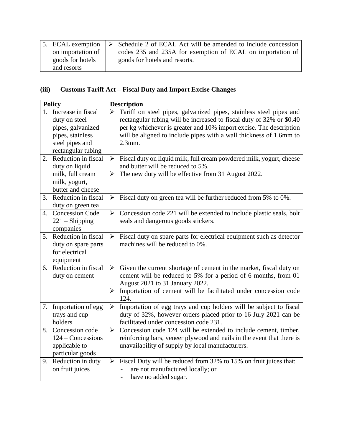| 5. ECAL exemption | $\triangleright$ Schedule 2 of ECAL Act will be amended to include concession |
|-------------------|-------------------------------------------------------------------------------|
| on importation of | codes 235 and 235A for exemption of ECAL on importation of                    |
| goods for hotels  | goods for hotels and resorts.                                                 |
| and resorts       |                                                                               |

# **(iii) Customs Tariff Act – Fiscal Duty and Import Excise Changes**

|    | <b>Policy</b>                                                                                                            |                            | <b>Description</b>                                                                                                                                                                                                                                                                                  |
|----|--------------------------------------------------------------------------------------------------------------------------|----------------------------|-----------------------------------------------------------------------------------------------------------------------------------------------------------------------------------------------------------------------------------------------------------------------------------------------------|
|    | 1. Increase in fiscal<br>duty on steel<br>pipes, galvanized<br>pipes, stainless<br>steel pipes and<br>rectangular tubing | $\blacktriangleright$      | Tariff on steel pipes, galvanized pipes, stainless steel pipes and<br>rectangular tubing will be increased to fiscal duty of 32% or \$0.40<br>per kg whichever is greater and 10% import excise. The description<br>will be aligned to include pipes with a wall thickness of 1.6mm to<br>$2.3$ mm. |
|    | 2. Reduction in fiscal<br>duty on liquid<br>milk, full cream<br>milk, yogurt,<br>butter and cheese                       | $\blacktriangleright$<br>➤ | Fiscal duty on liquid milk, full cream powdered milk, yogurt, cheese<br>and butter will be reduced to 5%.<br>The new duty will be effective from 31 August 2022.                                                                                                                                    |
|    | 3. Reduction in fiscal<br>duty on green tea                                                                              | ➤                          | Fiscal duty on green tea will be further reduced from 5% to 0%.                                                                                                                                                                                                                                     |
| 4. | <b>Concession Code</b><br>$221 -$ Shipping<br>companies                                                                  |                            | $\triangleright$ Concession code 221 will be extended to include plastic seals, bolt<br>seals and dangerous goods stickers.                                                                                                                                                                         |
|    | 5. Reduction in fiscal<br>duty on spare parts<br>for electrical<br>equipment                                             | $\blacktriangleright$      | Fiscal duty on spare parts for electrical equipment such as detector<br>machines will be reduced to 0%.                                                                                                                                                                                             |
| 6. | Reduction in fiscal<br>duty on cement                                                                                    | $\blacktriangleright$<br>➤ | Given the current shortage of cement in the market, fiscal duty on<br>cement will be reduced to 5% for a period of 6 months, from 01<br>August 2021 to 31 January 2022.<br>Importation of cement will be facilitated under concession code<br>124.                                                  |
| 7. | Importation of egg<br>trays and cup<br>holders                                                                           | $\blacktriangleright$      | Importation of egg trays and cup holders will be subject to fiscal<br>duty of 32%, however orders placed prior to 16 July 2021 can be<br>facilitated under concession code 231.                                                                                                                     |
|    | 8. Concession code<br>$124$ – Concessions<br>applicable to<br>particular goods                                           | $\blacktriangleright$      | Concession code 124 will be extended to include cement, timber,<br>reinforcing bars, veneer plywood and nails in the event that there is<br>unavailability of supply by local manufacturers.                                                                                                        |
|    | 9. Reduction in duty<br>on fruit juices                                                                                  |                            | $\triangleright$ Fiscal Duty will be reduced from 32% to 15% on fruit juices that:<br>are not manufactured locally; or<br>have no added sugar.                                                                                                                                                      |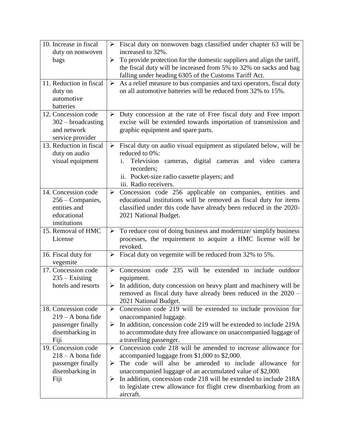| 10. Increase in fiscal                                                                     | $\blacktriangleright$           | Fiscal duty on nonwoven bags classified under chapter 63 will be                                                                                                                                                                                                                                                                                                                           |
|--------------------------------------------------------------------------------------------|---------------------------------|--------------------------------------------------------------------------------------------------------------------------------------------------------------------------------------------------------------------------------------------------------------------------------------------------------------------------------------------------------------------------------------------|
| duty on nonwoven                                                                           |                                 | increased to 32%.                                                                                                                                                                                                                                                                                                                                                                          |
| bags                                                                                       | ➤                               | To provide protection for the domestic suppliers and align the tariff,<br>the fiscal duty will be increased from 5% to 32% on sacks and bag<br>falling under heading 6305 of the Customs Tariff Act.                                                                                                                                                                                       |
| 11. Reduction in fiscal<br>duty on<br>automotive<br>batteries                              | $\blacktriangleright$           | As a relief measure to bus companies and taxi operators, fiscal duty<br>on all automotive batteries will be reduced from 32% to 15%.                                                                                                                                                                                                                                                       |
| 12. Concession code<br>$302 - broadcasting$<br>and network<br>service provider             | ➤                               | Duty concession at the rate of Free fiscal duty and Free import<br>excise will be extended towards importation of transmission and<br>graphic equipment and spare parts.                                                                                                                                                                                                                   |
| 13. Reduction in fiscal<br>duty on audio<br>visual equipment                               | $\blacktriangleright$           | Fiscal duty on audio visual equipment as stipulated below, will be<br>reduced to 0%:<br>Television cameras, digital cameras and video<br>camera<br>recorders;<br>ii. Pocket-size radio cassette players; and<br>iii. Radio receivers.                                                                                                                                                      |
| 14. Concession code<br>256 – Companies,<br>entities and<br>educational<br>institutions     | $\blacktriangleright$           | Concession code 256 applicable on companies, entities and<br>educational institutions will be removed as fiscal duty for items<br>classified under this code have already been reduced in the 2020-<br>2021 National Budget.                                                                                                                                                               |
| 15. Removal of HMC<br>License                                                              | ➤                               | To reduce cost of doing business and modernize/simplify business<br>processes, the requirement to acquire a HMC license will be<br>revoked.                                                                                                                                                                                                                                                |
| 16. Fiscal duty for<br>vegemite                                                            | $\blacktriangleright$           | Fiscal duty on vegemite will be reduced from 32% to 5%.                                                                                                                                                                                                                                                                                                                                    |
| 17. Concession code<br>$235 -$ Existing                                                    |                                 | $\triangleright$ Concession code 235 will be extended to include outdoor<br>equipment.                                                                                                                                                                                                                                                                                                     |
| hotels and resorts                                                                         | ➤                               | In addition, duty concession on heavy plant and machinery will be<br>removed as fiscal duty have already been reduced in the 2020 -<br>2021 National Budget.                                                                                                                                                                                                                               |
| 18. Concession code<br>$219 - A$ bona fide<br>passenger finally<br>disembarking in<br>Fiji | ≻<br>➤                          | Concession code 219 will be extended to include provision for<br>unaccompanied luggage.<br>In addition, concession code 219 will be extended to include 219A<br>to accommodate duty free allowance on unaccompanied luggage of<br>a travelling passenger.                                                                                                                                  |
| 19. Concession code<br>$218 - A$ bona fide<br>passenger finally<br>disembarking in<br>Fiji | $\blacktriangleright$<br>➤<br>➤ | Concession code 218 will be amended to increase allowance for<br>accompanied luggage from \$1,000 to \$2,000.<br>The code will also be amended to include allowance for<br>unaccompanied luggage of an accumulated value of \$2,000.<br>In addition, concession code 218 will be extended to include 218A<br>to legislate crew allowance for flight crew disembarking from an<br>aircraft. |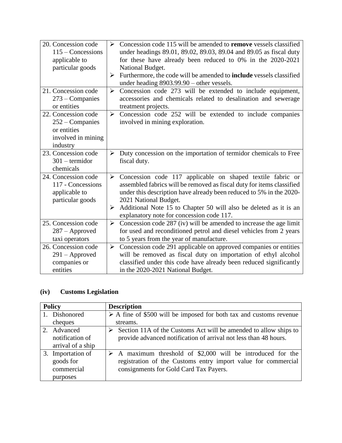| 20. Concession code<br>$115 -$ Concessions<br>applicable to<br>particular goods           | $\blacktriangleright$<br>➤ | Concession code 115 will be amended to <b>remove</b> vessels classified<br>under headings 89.01, 89.02, 89.03, 89.04 and 89.05 as fiscal duty<br>for these have already been reduced to 0% in the 2020-2021<br>National Budget.<br>Furthermore, the code will be amended to <b>include</b> vessels classified                                         |
|-------------------------------------------------------------------------------------------|----------------------------|-------------------------------------------------------------------------------------------------------------------------------------------------------------------------------------------------------------------------------------------------------------------------------------------------------------------------------------------------------|
|                                                                                           |                            | under heading 8903.99.90 - other vessels.                                                                                                                                                                                                                                                                                                             |
| 21. Concession code<br>$273$ – Companies<br>or entities                                   | $\blacktriangleright$      | Concession code 273 will be extended to include equipment,<br>accessories and chemicals related to desalination and sewerage<br>treatment projects.                                                                                                                                                                                                   |
| 22. Concession code<br>$252 -$ Companies<br>or entities<br>involved in mining<br>industry | $\blacktriangleright$      | Concession code 252 will be extended to include companies<br>involved in mining exploration.                                                                                                                                                                                                                                                          |
| 23. Concession code<br>$301$ – termidor<br>chemicals                                      | ➤                          | Duty concession on the importation of termidor chemicals to Free<br>fiscal duty.                                                                                                                                                                                                                                                                      |
| 24. Concession code<br>117 - Concessions<br>applicable to<br>particular goods             | $\blacktriangleright$<br>➤ | Concession code 117 applicable on shaped textile fabric or<br>assembled fabrics will be removed as fiscal duty for items classified<br>under this description have already been reduced to 5% in the 2020-<br>2021 National Budget.<br>Additional Note 15 to Chapter 50 will also be deleted as it is an<br>explanatory note for concession code 117. |
| 25. Concession code<br>$287 -$ Approved<br>taxi operators                                 | $\blacktriangleright$      | Concession code 287 (iv) will be amended to increase the age limit<br>for used and reconditioned petrol and diesel vehicles from 2 years<br>to 5 years from the year of manufacture.                                                                                                                                                                  |
| 26. Concession code<br>$291 -$ Approved<br>companies or<br>entities                       | $\blacktriangleright$      | Concession code 291 applicable on approved companies or entities<br>will be removed as fiscal duty on importation of ethyl alcohol<br>classified under this code have already been reduced significantly<br>in the 2020-2021 National Budget.                                                                                                         |

# **(iv) Customs Legislation**

| <b>Policy</b>     | <b>Description</b>                                                                |  |  |
|-------------------|-----------------------------------------------------------------------------------|--|--|
| 1. Dishonored     | $\triangleright$ A fine of \$500 will be imposed for both tax and customs revenue |  |  |
| cheques           | streams.                                                                          |  |  |
| 2. Advanced       | Section 11A of the Customs Act will be amended to allow ships to                  |  |  |
| notification of   | provide advanced notification of arrival not less than 48 hours.                  |  |  |
| arrival of a ship |                                                                                   |  |  |
| 3. Importation of | A maximum threshold of \$2,000 will be introduced for the                         |  |  |
| goods for         | registration of the Customs entry import value for commercial                     |  |  |
| commercial        | consignments for Gold Card Tax Payers.                                            |  |  |
| purposes          |                                                                                   |  |  |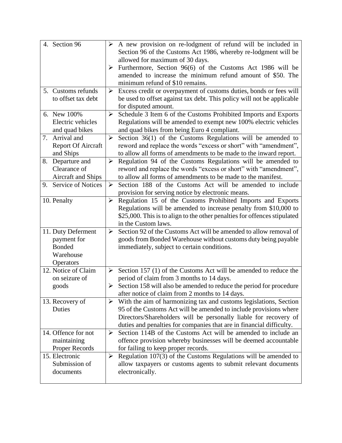| 4. Section 96             | $\blacktriangleright$ | A new provision on re-lodgment of refund will be included in              |
|---------------------------|-----------------------|---------------------------------------------------------------------------|
|                           |                       | Section 96 of the Customs Act 1986, whereby re-lodgment will be           |
|                           |                       | allowed for maximum of 30 days.                                           |
|                           | ➤                     | Furthermore, Section 96(6) of the Customs Act 1986 will be                |
|                           |                       | amended to increase the minimum refund amount of \$50. The                |
|                           |                       | minimum refund of \$10 remains.                                           |
| 5. Customs refunds        | ➤                     | Excess credit or overpayment of customs duties, bonds or fees will        |
| to offset tax debt        |                       | be used to offset against tax debt. This policy will not be applicable    |
|                           |                       | for disputed amount.                                                      |
| 6. New 100%               | $\blacktriangleright$ | Schedule 3 Item 6 of the Customs Prohibited Imports and Exports           |
| Electric vehicles         |                       | Regulations will be amended to exempt new 100% electric vehicles          |
| and quad bikes            |                       | and quad bikes from being Euro 4 compliant.                               |
| 7. Arrival and            | $\blacktriangleright$ | Section 36(1) of the Customs Regulations will be amended to               |
| <b>Report Of Aircraft</b> |                       | reword and replace the words "excess or short" with "amendment",          |
| and Ships                 |                       | to allow all forms of amendments to be made to the inward report.         |
| Departure and<br>8.       | $\blacktriangleright$ | Regulation 94 of the Customs Regulations will be amended to               |
| Clearance of              |                       | reword and replace the words "excess or short" with "amendment",          |
| Aircraft and Ships        |                       | to allow all forms of amendments to be made to the manifest.              |
| 9. Service of Notices     | $\blacktriangleright$ | Section 188 of the Customs Act will be amended to include                 |
|                           |                       | provision for serving notice by electronic means.                         |
| 10. Penalty               | $\blacktriangleright$ | Regulation 15 of the Customs Prohibited Imports and Exports               |
|                           |                       | Regulations will be amended to increase penalty from \$10,000 to          |
|                           |                       | \$25,000. This is to align to the other penalties for offences stipulated |
|                           |                       | in the Custom laws.                                                       |
| 11. Duty Deferment        | $\blacktriangleright$ | Section 92 of the Customs Act will be amended to allow removal of         |
| payment for               |                       | goods from Bonded Warehouse without customs duty being payable            |
| <b>Bonded</b>             |                       | immediately, subject to certain conditions.                               |
| Warehouse                 |                       |                                                                           |
| Operators                 |                       |                                                                           |
| 12. Notice of Claim       | $\blacktriangleright$ | Section 157 (1) of the Customs Act will be amended to reduce the          |
| on seizure of             |                       | period of claim from 3 months to 14 days.                                 |
| goods                     | $\blacktriangleright$ | Section 158 will also be amended to reduce the period for procedure       |
|                           |                       | after notice of claim from 2 months to 14 days.                           |
| 13. Recovery of           | ➤                     | With the aim of harmonizing tax and customs legislations, Section         |
| Duties                    |                       | 95 of the Customs Act will be amended to include provisions where         |
|                           |                       | Directors/Shareholders will be personally liable for recovery of          |
|                           |                       | duties and penalties for companies that are in financial difficulty.      |
| 14. Offence for not       | ➤                     | Section 114B of the Customs Act will be amended to include an             |
| maintaining               |                       | offence provision whereby businesses will be deemed accountable           |
| Proper Records            |                       | for failing to keep proper records.                                       |
| 15. Electronic            | ➤                     | Regulation $107(3)$ of the Customs Regulations will be amended to         |
| Submission of             |                       | allow taxpayers or customs agents to submit relevant documents            |
| documents                 |                       | electronically.                                                           |
|                           |                       |                                                                           |